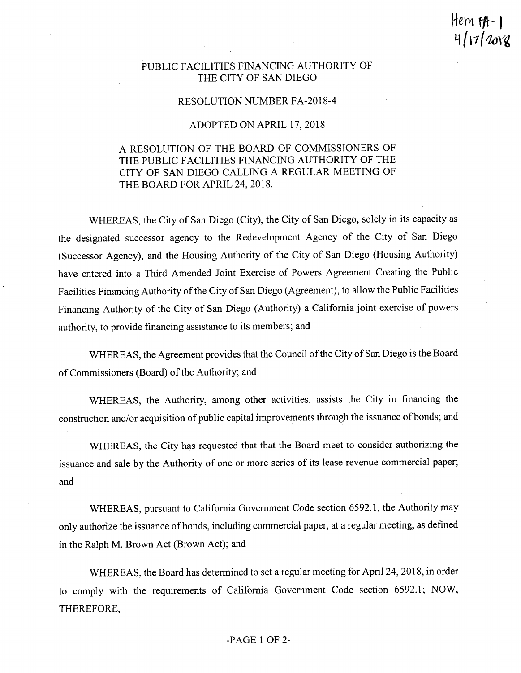*em fH'*

### PUBLIC FACILITIES FINANCING AUTHORITY OF THE CITY OF SAN DIEGO

#### RESOLUTION NUMBER FA-2018-4

### ADOPTED ON APRIL 17, 2018

# A RESOLUTION OF THE BOARD OF COMMISSIONERS OF THE PUBLIC FACILITIES FINANCING AUTHORITY OF THE CITY OF SAN DIEGO CALLING A REGULAR MEETING OF THE BOARD FOR APRIL 24, 2018.

WHEREAS, the City of San Diego (City), the City of San Diego, solely in its capacity as the designated successor agency to the Redevelopment Agency of the City of San Diego (Successor Agency), and the Housing Authority of the City of San Diego (Housing Authority) have entered into a Third Amended Joint Exercise of Powers Agreement Creating the Public Facilities Financing Authority of the City of San Diego (Agreement), to allow the Public Facilities Financing Authority of the City of San Diego (Authority) a California joint exercise of powers authority, to provide financing assistance to its members; and

WHEREAS, the Agreement provides that the Council of the City of San Diego is the Board of Commissioners (Board) of the Authority; and

WHEREAS, the Authority, among other activities, assists the City in financing the construction and/or acquisition of public capital improvements through the issuance of bonds; and

WHEREAS, the City has requested that that the Board meet to consider authorizing the issuance and sale by the Authority of one or more series of its lease revenue commercial paper; and

WHEREAS, pursuant to California Government Code section 6592.1, the Authority may only authorize the issuance of bonds, including commercial paper, at a regular meeting, as defined in the Ralph M. Brown Act (Brown Act); and

WHEREAS, the Board has determined to set a regular meeting for April 24, 2018, in order to comply with the requirements of California Government Code section 6592.1; NOW, THEREFORE,

### -PAGE <sup>1</sup> OF 2-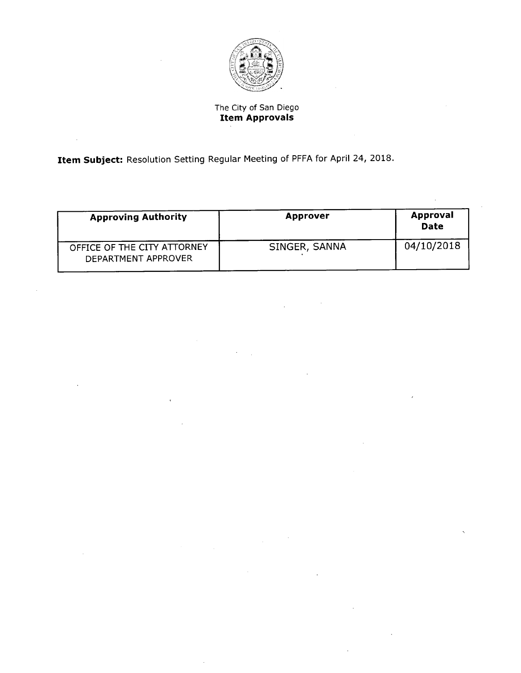

# The City of San Diego **Item Approvals**

Item Subject: Resolution Setting Regular Meeting of PFFA for April 24, 2018.

 $\bar{\beta}$ 

| <b>Approving Authority</b>                         | <b>Approver</b> | Approval<br>Date |
|----------------------------------------------------|-----------------|------------------|
| OFFICE OF THE CITY ATTORNEY<br>DEPARTMENT APPROVER | SINGER, SANNA   | 04/10/2018       |